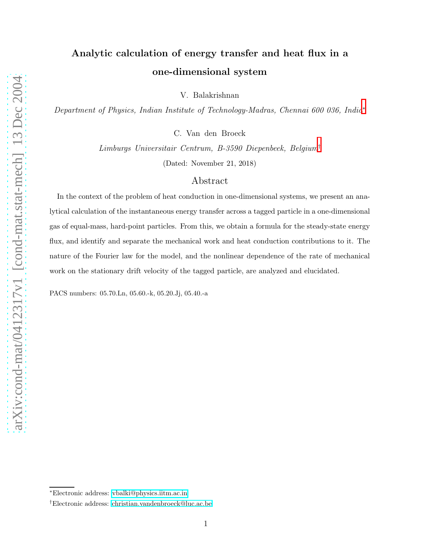# Analytic calculation of energy transfer and heat flux in a one-dimensional system

V. Balakrishnan

Department of Physics, Indian Institute of Technology-Madras, Chennai 600 036, India[∗](#page-0-0)

C. Van den Broeck

Limburgs Universitair Centrum, B-3590 Diepenbeek, Belgium[†](#page-0-1) (Dated: November 21, 2018)

## Abstract

In the context of the problem of heat conduction in one-dimensional systems, we present an analytical calculation of the instantaneous energy transfer across a tagged particle in a one-dimensional gas of equal-mass, hard-point particles. From this, we obtain a formula for the steady-state energy flux, and identify and separate the mechanical work and heat conduction contributions to it. The nature of the Fourier law for the model, and the nonlinear dependence of the rate of mechanical work on the stationary drift velocity of the tagged particle, are analyzed and elucidated.

PACS numbers: 05.70.Ln, 05.60.-k, 05.20.Jj, 05.40.-a

<span id="page-0-1"></span><span id="page-0-0"></span><sup>∗</sup>Electronic address: [vbalki@physics.iitm.ac.in](mailto:vbalki@physics.iitm.ac.in)

<sup>†</sup>Electronic address: [christian.vandenbroeck@luc.ac.be](mailto:christian.vandenbroeck@luc.ac.be)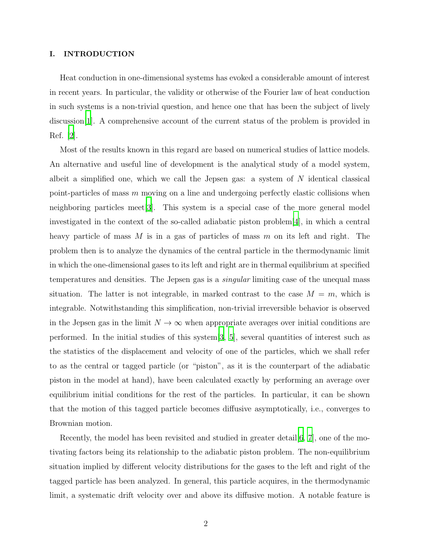#### I. INTRODUCTION

Heat conduction in one-dimensional systems has evoked a considerable amount of interest in recent years. In particular, the validity or otherwise of the Fourier law of heat conduction in such systems is a non-trivial question, and hence one that has been the subject of lively discussion[\[1\]](#page-15-0). A comprehensive account of the current status of the problem is provided in Ref. [\[2\]](#page-15-1).

Most of the results known in this regard are based on numerical studies of lattice models. An alternative and useful line of development is the analytical study of a model system, albeit a simplified one, which we call the Jepsen gas: a system of  $N$  identical classical point-particles of mass m moving on a line and undergoing perfectly elastic collisions when neighboring particles meet[\[3\]](#page-16-0). This system is a special case of the more general model investigated in the context of the so-called adiabatic piston problem[\[4](#page-16-1)], in which a central heavy particle of mass  $M$  is in a gas of particles of mass  $m$  on its left and right. The problem then is to analyze the dynamics of the central particle in the thermodynamic limit in which the one-dimensional gases to its left and right are in thermal equilibrium at specified temperatures and densities. The Jepsen gas is a singular limiting case of the unequal mass situation. The latter is not integrable, in marked contrast to the case  $M = m$ , which is integrable. Notwithstanding this simplification, non-trivial irreversible behavior is observed in the Jepsen gas in the limit  $N \to \infty$  when appropriate averages over initial conditions are performed. In the initial studies of this system[\[3](#page-16-0), [5](#page-16-2)], several quantities of interest such as the statistics of the displacement and velocity of one of the particles, which we shall refer to as the central or tagged particle (or "piston", as it is the counterpart of the adiabatic piston in the model at hand), have been calculated exactly by performing an average over equilibrium initial conditions for the rest of the particles. In particular, it can be shown that the motion of this tagged particle becomes diffusive asymptotically, i.e., converges to Brownian motion.

Recently, the model has been revisited and studied in greater detail [\[6](#page-16-3), [7](#page-16-4)], one of the motivating factors being its relationship to the adiabatic piston problem. The non-equilibrium situation implied by different velocity distributions for the gases to the left and right of the tagged particle has been analyzed. In general, this particle acquires, in the thermodynamic limit, a systematic drift velocity over and above its diffusive motion. A notable feature is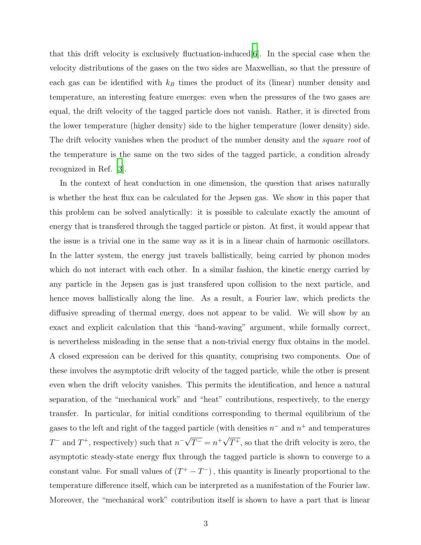that this drift velocity is exclusively fluctuation-induced  $|6|$ . In the special case when the velocity distributions of the gases on the two sides are Maxwellian, so that the pressure of each gas can be identified with  $k_B$  times the product of its (linear) number density and temperature, an interesting feature emerges: even when the pressures of the two gases are equal, the drift velocity of the tagged particle does not vanish. Rather, it is directed from the lower temperature (higher density) side to the higher temperature (lower density) side. The drift velocity vanishes when the product of the number density and the *square root* of the temperature is the same on the two sides of the tagged particle, a condition already recognized in Ref. [\[3\]](#page-16-0).

In the context of heat conduction in one dimension, the question that arises naturally is whether the heat flux can be calculated for the Jepsen gas. We show in this paper that this problem can be solved analytically: it is possible to calculate exactly the amount of energy that is transfered through the tagged particle or piston. At first, it would appear that the issue is a trivial one in the same way as it is in a linear chain of harmonic oscillators. In the latter system, the energy just travels ballistically, being carried by phonon modes which do not interact with each other. In a similar fashion, the kinetic energy carried by any particle in the Jepsen gas is just transfered upon collision to the next particle, and hence moves ballistically along the line. As a result, a Fourier law, which predicts the diffusive spreading of thermal energy, does not appear to be valid. We will show by an exact and explicit calculation that this "hand-waving" argument, while formally correct, is nevertheless misleading in the sense that a non-trivial energy flux obtains in the model. A closed expression can be derived for this quantity, comprising two components. One of these involves the asymptotic drift velocity of the tagged particle, while the other is present even when the drift velocity vanishes. This permits the identification, and hence a natural separation, of the "mechanical work" and "heat" contributions, respectively, to the energy transfer. In particular, for initial conditions corresponding to thermal equilibrium of the gases to the left and right of the tagged particle (with densities  $n^-$  and  $n^+$  and temperatures  $T^{-}$  and  $T^{+}$ , respectively) such that  $n^{-} \sqrt{T^{-}} = n^{+} \sqrt{T^{+}}$ , so that the drift velocity is zero, the asymptotic steady-state energy flux through the tagged particle is shown to converge to a constant value. For small values of  $(T^+ - T^-)$ , this quantity is linearly proportional to the temperature difference itself, which can be interpreted as a manifestation of the Fourier law. Moreover, the "mechanical work" contribution itself is shown to have a part that is linear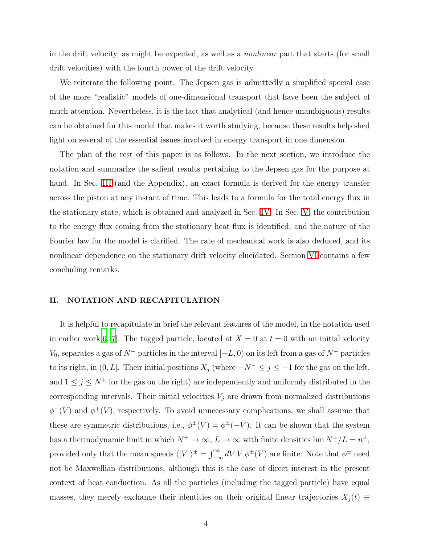in the drift velocity, as might be expected, as well as a nonlinear part that starts (for small drift velocities) with the fourth power of the drift velocity.

We reiterate the following point. The Jepsen gas is admittedly a simplified special case of the more "realistic" models of one-dimensional transport that have been the subject of much attention. Nevertheless, it is the fact that analytical (and hence unambiguous) results can be obtained for this model that makes it worth studying, because these results help shed light on several of the essential issues involved in energy transport in one dimension.

The plan of the rest of this paper is as follows. In the next section, we introduce the notation and summarize the salient results pertaining to the Jepsen gas for the purpose at hand. In Sec. [III](#page-5-0) (and the Appendix), an exact formula is derived for the energy transfer across the piston at any instant of time. This leads to a formula for the total energy flux in the stationary state, which is obtained and analyzed in Sec. [IV.](#page-6-0) In Sec. [V,](#page-10-0) the contribution to the energy flux coming from the stationary heat flux is identified, and the nature of the Fourier law for the model is clarified. The rate of mechanical work is also deduced, and its nonlinear dependence on the stationary drift velocity elucidated. Section [VI](#page-12-0) contains a few concluding remarks.

#### <span id="page-3-0"></span>II. NOTATION AND RECAPITULATION

It is helpful to recapitulate in brief the relevant features of the model, in the notation used in earlier work [\[6](#page-16-3), [7](#page-16-4)]. The tagged particle, located at  $X = 0$  at  $t = 0$  with an initial velocity  $V_0$ , separates a gas of  $N^-$  particles in the interval  $[-L, 0)$  on its left from a gas of  $N^+$  particles to its right, in  $(0, L]$ . Their initial positions  $X_j$  (where  $-N^- \leq j \leq -1$  for the gas on the left, and  $1 \leq j \leq N^+$  for the gas on the right) are independently and uniformly distributed in the corresponding intervals. Their initial velocities  $V_j$  are drawn from normalized distributions  $\phi^{-}(V)$  and  $\phi^{+}(V)$ , respectively. To avoid unnecessary complications, we shall assume that these are symmetric distributions, i.e.,  $\phi^{\pm}(V) = \phi^{\pm}(-V)$ . It can be shown that the system has a thermodynamic limit in which  $N^+ \to \infty$ ,  $L \to \infty$  with finite densities lim  $N^{\pm}/L = n^{\pm}$ , provided only that the mean speeds  $\langle |V|\rangle^{\pm} = \int_{-\infty}^{\infty} dV V \phi^{\pm}(V)$  are finite. Note that  $\phi^{\pm}$  need not be Maxwellian distributions, although this is the case of direct interest in the present context of heat conduction. As all the particles (including the tagged particle) have equal masses, they merely exchange their identities on their original linear trajectories  $X_j(t) \equiv$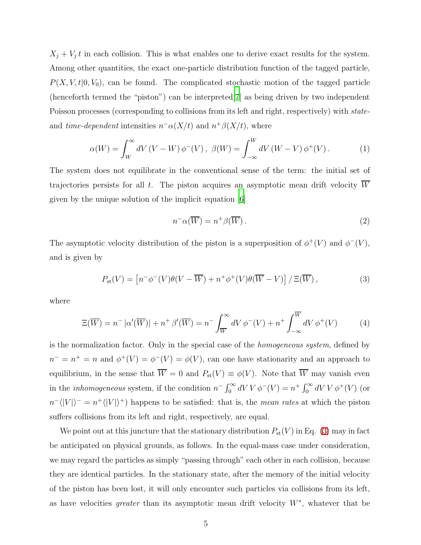$X_j + V_j t$  in each collision. This is what enables one to derive exact results for the system. Among other quantities, the exact one-particle distribution function of the tagged particle,  $P(X, V, t | 0, V_0)$ , can be found. The complicated stochastic motion of the tagged particle (henceforth termed the "piston") can be interpreted[\[7](#page-16-4)] as being driven by two independent Poisson processes (corresponding to collisions from its left and right, respectively) with stateand *time-dependent* intensities  $n^-\alpha(X/t)$  and  $n^+\beta(X/t)$ , where

$$
\alpha(W) = \int_W^{\infty} dV (V - W) \phi^-(V), \ \beta(W) = \int_{-\infty}^W dV (W - V) \phi^+(V). \tag{1}
$$

The system does not equilibrate in the conventional sense of the term: the initial set of trajectories persists for all  $t$ . The piston acquires an asymptotic mean drift velocity  $W$ given by the unique solution of the implicit equation [\[6\]](#page-16-3)

<span id="page-4-3"></span><span id="page-4-2"></span>
$$
n^{-}\alpha(\overline{W}) = n^{+}\beta(\overline{W}).
$$
\n(2)

<span id="page-4-0"></span>The asymptotic velocity distribution of the piston is a superposition of  $\phi^+(V)$  and  $\phi^-(V)$ , and is given by

$$
P_{\rm st}(V) = \left[ n^- \phi^-(V) \theta(V - \overline{W}) + n^+ \phi^+(V) \theta(\overline{W} - V) \right] / \Xi(\overline{W}), \tag{3}
$$

<span id="page-4-1"></span>where

$$
\Xi(\overline{W}) = n^- |\alpha'(\overline{W})| + n^+ \beta'(\overline{W}) = n^- \int_{\overline{W}}^{\infty} dV \phi^-(V) + n^+ \int_{-\infty}^{\overline{W}} dV \phi^+(V) \tag{4}
$$

is the normalization factor. Only in the special case of the homogeneous system, defined by  $n^{-} = n^{+} = n$  and  $\phi^{+}(V) = \phi^{-}(V) = \phi(V)$ , can one have stationarity and an approach to equilibrium, in the sense that  $\overline{W} = 0$  and  $P_{st}(V) \equiv \phi(V)$ . Note that  $\overline{W}$  may vanish even in the *inhomogeneous* system, if the condition  $n^- \int_0^\infty dV V \phi^-(V) = n^+ \int_0^\infty dV V \phi^+(V)$  (or  $n^{-} \langle |V| \rangle^{-} = n^{+} \langle |V| \rangle^{+}$  happens to be satisfied: that is, the *mean rates* at which the piston suffers collisions from its left and right, respectively, are equal.

We point out at this juncture that the stationary distribution  $P_{st}(V)$  in Eq. [\(3\)](#page-4-0) may in fact be anticipated on physical grounds, as follows. In the equal-mass case under consideration, we may regard the particles as simply "passing through" each other in each collision, because they are identical particles. In the stationary state, after the memory of the initial velocity of the piston has been lost, it will only encounter such particles via collisions from its left, as have velocities *greater* than its asymptotic mean drift velocity  $W^*$ , whatever that be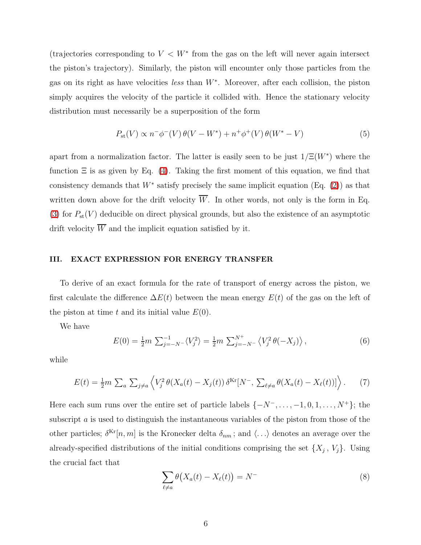(trajectories corresponding to  $V < W^*$  from the gas on the left will never again intersect the piston's trajectory). Similarly, the piston will encounter only those particles from the gas on its right as have velocities *less* than  $W^*$ . Moreover, after each collision, the piston simply acquires the velocity of the particle it collided with. Hence the stationary velocity distribution must necessarily be a superposition of the form

$$
P_{\rm st}(V) \propto n^{-} \phi^{-}(V) \theta(V - W^{*}) + n^{+} \phi^{+}(V) \theta(W^{*} - V)
$$
\n(5)

apart from a normalization factor. The latter is easily seen to be just  $1/\Xi(W^*)$  where the function  $\Xi$  is as given by Eq. [\(4\)](#page-4-1). Taking the first moment of this equation, we find that consistency demands that  $W^*$  satisfy precisely the same implicit equation (Eq. [\(2\)](#page-4-2)) as that written down above for the drift velocity  $\overline{W}$ . In other words, not only is the form in Eq. [\(3\)](#page-4-0) for  $P_{st}(V)$  deducible on direct physical grounds, but also the existence of an asymptotic drift velocity  $\overline{W}$  and the implicit equation satisfied by it.

#### <span id="page-5-0"></span>III. EXACT EXPRESSION FOR ENERGY TRANSFER

To derive of an exact formula for the rate of transport of energy across the piston, we first calculate the difference  $\Delta E(t)$  between the mean energy  $E(t)$  of the gas on the left of the piston at time t and its initial value  $E(0)$ .

We have

$$
E(0) = \frac{1}{2}m \sum_{j=-N^-}^{-1} \langle V_j^2 \rangle = \frac{1}{2}m \sum_{j=-N^-}^{N^+} \langle V_j^2 \theta(-X_j) \rangle, \qquad (6)
$$

while

$$
E(t) = \frac{1}{2}m \sum_{a} \sum_{j \neq a} \left\langle V_j^2 \theta(X_a(t) - X_j(t)) \, \delta^{\text{Kr}}[N^-, \sum_{\ell \neq a} \theta(X_a(t) - X_\ell(t))] \right\rangle. \tag{7}
$$

Here each sum runs over the entire set of particle labels  $\{-N^-, \ldots, -1, 0, 1, \ldots, N^+\}$ ; the subscript a is used to distinguish the instantaneous variables of the piston from those of the other particles;  $\delta^{Kr}[n,m]$  is the Kronecker delta  $\delta_{nm}$ ; and  $\langle \ldots \rangle$  denotes an average over the already-specified distributions of the initial conditions comprising the set  $\{X_j, V_j\}$ . Using the crucial fact that

$$
\sum_{\ell \neq a} \theta \big( X_a(t) - X_\ell(t) \big) = N^{-} \tag{8}
$$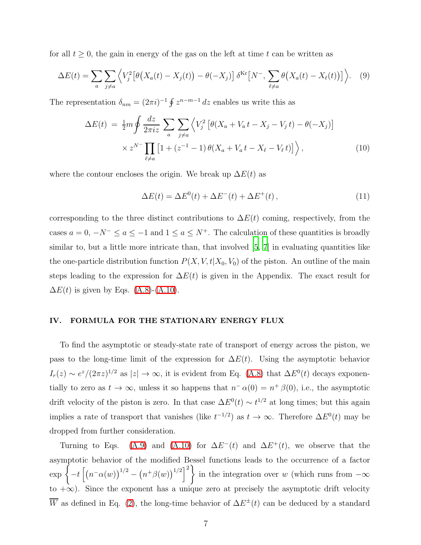for all  $t \geq 0$ , the gain in energy of the gas on the left at time t can be written as

$$
\Delta E(t) = \sum_{a} \sum_{j \neq a} \left\langle V_j^2 \left[ \theta \big( X_a(t) - X_j(t) \big) - \theta(-X_j) \right] \delta^{\text{Kr}} \left[ N^- , \sum_{\ell \neq a} \theta \big( X_a(t) - X_\ell(t) \big) \right] \right\rangle. \tag{9}
$$

<span id="page-6-1"></span>The representation  $\delta_{nm} = (2\pi i)^{-1} \oint z^{n-m-1} dz$  enables us write this as

$$
\Delta E(t) = \frac{1}{2} m \oint \frac{dz}{2\pi i z} \sum_{a} \sum_{j \neq a} \left\langle V_j^2 \left[ \theta(X_a + V_a t - X_j - V_j t) - \theta(-X_j) \right] \right. \\ \times z^{N^-} \prod_{\ell \neq a} \left[ 1 + (z^{-1} - 1) \theta(X_a + V_a t - X_\ell - V_\ell t) \right] \right\rangle, \tag{10}
$$

where the contour encloses the origin. We break up  $\Delta E(t)$  as

$$
\Delta E(t) = \Delta E^{0}(t) + \Delta E^{-}(t) + \Delta E^{+}(t), \qquad (11)
$$

corresponding to the three distinct contributions to  $\Delta E(t)$  coming, respectively, from the cases  $a = 0$ ,  $-N^- \le a \le -1$  and  $1 \le a \le N^+$ . The calculation of these quantities is broadly similar to, but a little more intricate than, that involved [\[5,](#page-16-2) [7\]](#page-16-4) in evaluating quantities like the one-particle distribution function  $P(X, V, t | X_0, V_0)$  of the piston. An outline of the main steps leading to the expression for  $\Delta E(t)$  is given in the Appendix. The exact result for  $\Delta E(t)$  is given by Eqs. [\(A.8\)](#page-15-2)-[\(A.10\)](#page-15-3).

#### <span id="page-6-0"></span>IV. FORMULA FOR THE STATIONARY ENERGY FLUX

To find the asymptotic or steady-state rate of transport of energy across the piston, we pass to the long-time limit of the expression for  $\Delta E(t)$ . Using the asymptotic behavior  $I_r(z) \sim e^z/(2\pi z)^{1/2}$  as  $|z| \to \infty$ , it is evident from Eq. [\(A.8\)](#page-15-2) that  $\Delta E^0(t)$  decays exponentially to zero as  $t \to \infty$ , unless it so happens that  $n^- \alpha(0) = n^+ \beta(0)$ , i.e., the asymptotic drift velocity of the piston is zero. In that case  $\Delta E^0(t) \sim t^{1/2}$  at long times; but this again implies a rate of transport that vanishes (like  $t^{-1/2}$ ) as  $t \to \infty$ . Therefore  $\Delta E^0(t)$  may be dropped from further consideration.

Turning to Eqs. [\(A.9\)](#page-15-4) and [\(A.10\)](#page-15-3) for  $\Delta E^{-}(t)$  and  $\Delta E^{+}(t)$ , we observe that the asymptotic behavior of the modified Bessel functions leads to the occurrence of a factor  $\exp\left\{-t\left[\left(n^{-}\alpha(w)\right)^{1/2}-\left(n^{+}\beta(w)\right)^{1/2}\right]^{2}\right\}$  in the integration over w (which runs from  $-\infty$ ) to +∞). Since the exponent has a unique zero at precisely the asymptotic drift velocity W as defined in Eq. [\(2\)](#page-4-2), the long-time behavior of  $\Delta E^{\pm}(t)$  can be deduced by a standard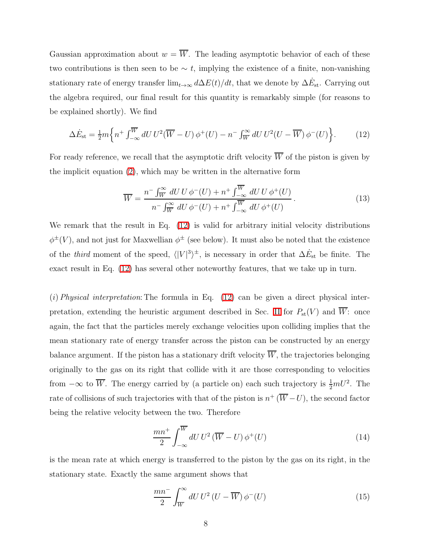Gaussian approximation about  $w = \overline{W}$ . The leading asymptotic behavior of each of these two contributions is then seen to be  $\sim t$ , implying the existence of a finite, non-vanishing stationary rate of energy transfer  $\lim_{t\to\infty} d\Delta E(t)/dt$ , that we denote by  $\Delta \dot{E}_{\rm st}$ . Carrying out the algebra required, our final result for this quantity is remarkably simple (for reasons to be explained shortly). We find

<span id="page-7-0"></span>
$$
\Delta \dot{E}_{\rm st} = \frac{1}{2} m \left\{ n^+ \int_{-\infty}^{\overline{W}} dU U^2 (\overline{W} - U) \phi^+(U) - n^- \int_{\overline{W}}^{\infty} dU U^2 (U - \overline{W}) \phi^-(U) \right\}.
$$
 (12)

For ready reference, we recall that the asymptotic drift velocity  $\overline{W}$  of the piston is given by the implicit equation [\(2\)](#page-4-2), which may be written in the alternative form

$$
\overline{W} = \frac{n^- \int_W^{\infty} dU U \phi^-(U) + n^+ \int_{-\infty}^{\overline{W}} dU U \phi^+(U)}{n^- \int_W^{\infty} dU \phi^-(U) + n^+ \int_{-\infty}^{\overline{W}} dU \phi^+(U)}.
$$
\n(13)

We remark that the result in Eq. [\(12\)](#page-7-0) is valid for arbitrary initial velocity distributions  $\phi^{\pm}(V)$ , and not just for Maxwellian  $\phi^{\pm}$  (see below). It must also be noted that the existence of the *third* moment of the speed,  $\langle |V|^3 \rangle^{\pm}$ , is necessary in order that  $\Delta E_{st}$  be finite. The exact result in Eq. [\(12\)](#page-7-0) has several other noteworthy features, that we take up in turn.

(i) Physical interpretation: The formula in Eq.  $(12)$  can be given a direct physical inter-pretation, extending the heuristic argument described in Sec. [II](#page-3-0) for  $P_{st}(V)$  and  $\overline{W}$ : once again, the fact that the particles merely exchange velocities upon colliding implies that the mean stationary rate of energy transfer across the piston can be constructed by an energy balance argument. If the piston has a stationary drift velocity  $\overline{W}$ , the trajectories belonging originally to the gas on its right that collide with it are those corresponding to velocities from  $-\infty$  to  $\overline{W}$ . The energy carried by (a particle on) each such trajectory is  $\frac{1}{2}mU^2$ . The rate of collisions of such trajectories with that of the piston is  $n^{+}(\overline{W}-U)$ , the second factor being the relative velocity between the two. Therefore

$$
\frac{mn^+}{2} \int_{-\infty}^{\overline{W}} dU U^2 (\overline{W} - U) \phi^+(U) \tag{14}
$$

is the mean rate at which energy is transferred to the piston by the gas on its right, in the stationary state. Exactly the same argument shows that

$$
\frac{mn^{-}}{2} \int_{\overline{W}}^{\infty} dU U^{2} (U - \overline{W}) \phi^{-}(U)
$$
\n(15)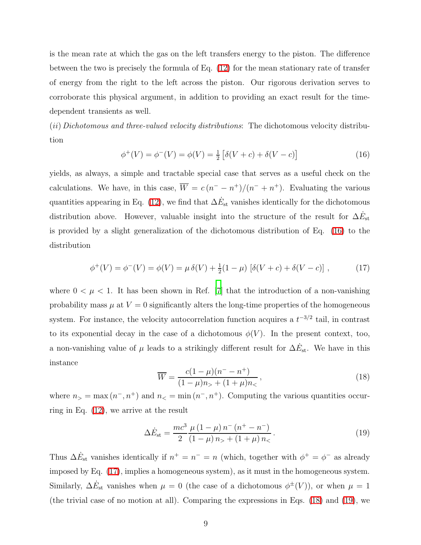is the mean rate at which the gas on the left transfers energy to the piston. The difference between the two is precisely the formula of Eq. [\(12\)](#page-7-0) for the mean stationary rate of transfer of energy from the right to the left across the piston. Our rigorous derivation serves to corroborate this physical argument, in addition to providing an exact result for the timedependent transients as well.

<span id="page-8-0"></span>(ii) Dichotomous and three-valued velocity distributions: The dichotomous velocity distribution

$$
\phi^+(V) = \phi^-(V) = \phi(V) = \frac{1}{2} [\delta(V+c) + \delta(V-c)] \tag{16}
$$

<span id="page-8-1"></span>yields, as always, a simple and tractable special case that serves as a useful check on the calculations. We have, in this case,  $\overline{W} = c(n^{-} - n^{+})/(n^{-} + n^{+})$ . Evaluating the various quantities appearing in Eq. [\(12\)](#page-7-0), we find that  $\Delta \dot{E}_{\rm st}$  vanishes identically for the dichotomous distribution above. However, valuable insight into the structure of the result for  $\Delta E_{\rm st}$ is provided by a slight generalization of the dichotomous distribution of Eq. [\(16\)](#page-8-0) to the distribution

$$
\phi^+(V) = \phi^-(V) = \phi(V) = \mu \,\delta(V) + \frac{1}{2}(1-\mu) \left[ \delta(V+c) + \delta(V-c) \right],\tag{17}
$$

<span id="page-8-2"></span>where  $0 < \mu < 1$ . It has been shown in Ref. [\[7](#page-16-4)] that the introduction of a non-vanishing probability mass  $\mu$  at  $V = 0$  significantly alters the long-time properties of the homogeneous system. For instance, the velocity autocorrelation function acquires a  $t^{-3/2}$  tail, in contrast to its exponential decay in the case of a dichotomous  $\phi(V)$ . In the present context, too, a non-vanishing value of  $\mu$  leads to a strikingly different result for  $\Delta \dot{E}_{\rm st}$ . We have in this instance

<span id="page-8-3"></span>
$$
\overline{W} = \frac{c(1-\mu)(n^--n^+)}{(1-\mu)n_+ + (1+\mu)n_<},
$$
\n(18)

where  $n_{>} = \max(n^{-}, n^{+})$  and  $n_{<} = \min(n^{-}, n^{+})$ . Computing the various quantities occurring in Eq. [\(12\)](#page-7-0), we arrive at the result

$$
\Delta \dot{E}_{\rm st} = \frac{mc^3}{2} \frac{\mu \left(1 - \mu\right) n^{-} \left(n^{+} - n^{-}\right)}{\left(1 - \mu\right) n_{>} + \left(1 + \mu\right) n_{<}}.
$$
\n(19)

Thus  $\Delta \dot{E}_{\rm st}$  vanishes identically if  $n^+ = n^- = n$  (which, together with  $\phi^+ = \phi^-$  as already imposed by Eq. [\(17\)](#page-8-1), implies a homogeneous system), as it must in the homogeneous system. Similarly,  $\Delta E_{st}$  vanishes when  $\mu = 0$  (the case of a dichotomous  $\phi^{\pm}(V)$ ), or when  $\mu = 1$ (the trivial case of no motion at all). Comparing the expressions in Eqs. [\(18\)](#page-8-2) and [\(19\)](#page-8-3), we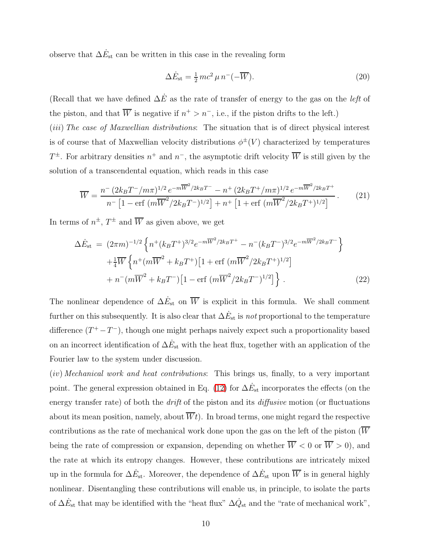observe that  $\Delta \dot{E}_{\rm st}$  can be written in this case in the revealing form

<span id="page-9-0"></span>
$$
\Delta \dot{E}_{\rm st} = \frac{1}{2} m c^2 \mu n^- (-\overline{W}). \tag{20}
$$

(Recall that we have defined  $\Delta \dot{E}$  as the rate of transfer of energy to the gas on the *left* of the piston, and that  $\overline{W}$  is negative if  $n^+ > n^-$ , i.e., if the piston drifts to the left.)

(*iii*) The case of Maxwellian distributions: The situation that is of direct physical interest is of course that of Maxwellian velocity distributions  $\phi^{\pm}(V)$  characterized by temperatures  $T^{\pm}$ . For arbitrary densities  $n^{+}$  and  $n^{-}$ , the asymptotic drift velocity  $\overline{W}$  is still given by the solution of a transcendental equation, which reads in this case

$$
\overline{W} = \frac{n^{-} (2k_{B}T^{-}/m\pi)^{1/2} e^{-m\overline{W}^{2}/2k_{B}T^{-}} - n^{+} (2k_{B}T^{+}/m\pi)^{1/2} e^{-m\overline{W}^{2}/2k_{B}T^{+}}}{n^{-} [1 - \text{erf } (m\overline{W}^{2}/2k_{B}T^{-})^{1/2}] + n^{+} [1 + \text{erf } (m\overline{W}^{2}/2k_{B}T^{+})^{1/2}]}.
$$
(21)

<span id="page-9-1"></span>In terms of  $n^{\pm}$ ,  $T^{\pm}$  and  $\overline{W}$  as given above, we get

$$
\Delta \dot{E}_{\rm st} = (2\pi m)^{-1/2} \left\{ n^+(k_B T^+)^{3/2} e^{-m \overline{W}^2 / 2k_B T^+} - n^-(k_B T^-)^{3/2} e^{-m \overline{W}^2 / 2k_B T^-} \right\} \n+ \frac{1}{4} \overline{W} \left\{ n^+(m \overline{W}^2 + k_B T^+) \left[ 1 + \text{erf} \left( m \overline{W}^2 / 2k_B T^+ \right)^{1/2} \right] \right. \n+ n^-(m \overline{W}^2 + k_B T^-) \left[ 1 - \text{erf} \left( m \overline{W}^2 / 2k_B T^- \right)^{1/2} \right] \right\}.
$$
\n(22)

The nonlinear dependence of  $\Delta E_{st}$  on  $\overline{W}$  is explicit in this formula. We shall comment further on this subsequently. It is also clear that  $\Delta \dot{E}_{\rm st}$  is *not* proportional to the temperature difference  $(T^+ - T^-)$ , though one might perhaps naively expect such a proportionality based on an incorrect identification of  $\Delta E_{\rm st}$  with the heat flux, together with an application of the Fourier law to the system under discussion.

(iv) Mechanical work and heat contributions: This brings us, finally, to a very important point. The general expression obtained in Eq. [\(12\)](#page-7-0) for  $\Delta \dot{E}_{\rm st}$  incorporates the effects (on the energy transfer rate) of both the *drift* of the piston and its *diffusive* motion (or fluctuations about its mean position, namely, about  $\overline{W}t$ ). In broad terms, one might regard the respective contributions as the rate of mechanical work done upon the gas on the left of the piston  $\overline{W}$ being the rate of compression or expansion, depending on whether  $\overline{W}$  < 0 or  $\overline{W}$  > 0), and the rate at which its entropy changes. However, these contributions are intricately mixed up in the formula for  $\Delta E_{st}$ . Moreover, the dependence of  $\Delta E_{st}$  upon  $\overline{W}$  is in general highly nonlinear. Disentangling these contributions will enable us, in principle, to isolate the parts of  $\Delta E_{\rm st}$  that may be identified with the "heat flux"  $\Delta \dot{Q}_{\rm st}$  and the "rate of mechanical work",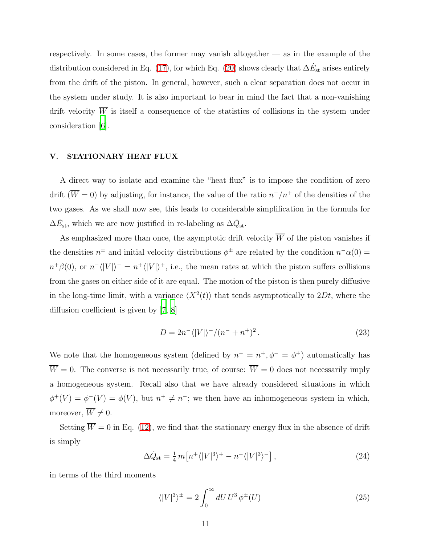respectively. In some cases, the former may vanish altogether — as in the example of the distribution considered in Eq. [\(17\)](#page-8-1), for which Eq. [\(20\)](#page-9-0) shows clearly that  $\Delta \dot{E}_{\rm st}$  arises entirely from the drift of the piston. In general, however, such a clear separation does not occur in the system under study. It is also important to bear in mind the fact that a non-vanishing drift velocity  $\overline{W}$  is itself a consequence of the statistics of collisions in the system under consideration [\[6\]](#page-16-3).

## <span id="page-10-0"></span>V. STATIONARY HEAT FLUX

A direct way to isolate and examine the "heat flux" is to impose the condition of zero drift  $(\overline{W} = 0)$  by adjusting, for instance, the value of the ratio  $n^{-}/n^{+}$  of the densities of the two gases. As we shall now see, this leads to considerable simplification in the formula for  $\Delta \dot{E}_{\rm st}$ , which we are now justified in re-labeling as  $\Delta \dot{Q}_{\rm st}$ .

As emphasized more than once, the asymptotic drift velocity  $\overline{W}$  of the piston vanishes if the densities  $n^{\pm}$  and initial velocity distributions  $\phi^{\pm}$  are related by the condition  $n^{-} \alpha(0) =$  $n^+\beta(0)$ , or  $n^-\langle |V|\rangle^- = n^+\langle |V|\rangle^+$ , i.e., the mean rates at which the piston suffers collisions from the gases on either side of it are equal. The motion of the piston is then purely diffusive in the long-time limit, with a variance  $\langle X^2(t) \rangle$  that tends asymptotically to  $2Dt$ , where the diffusion coefficient is given by [\[7,](#page-16-4) [8\]](#page-16-5)

$$
D = 2n^{-\langle |V| \rangle^{-}/(n^{-} + n^{+})^{2}}.
$$
\n
$$
(23)
$$

We note that the homogeneous system (defined by  $n^- = n^+, \phi^- = \phi^+$ ) automatically has  $\overline{W} = 0$ . The converse is not necessarily true, of course:  $\overline{W} = 0$  does not necessarily imply a homogeneous system. Recall also that we have already considered situations in which  $\phi^+(V) = \phi^-(V) = \phi(V)$ , but  $n^+ \neq n^-$ ; we then have an inhomogeneous system in which, moreover,  $\overline{W} \neq 0$ .

<span id="page-10-1"></span>Setting  $\overline{W} = 0$  in Eq. [\(12\)](#page-7-0), we find that the stationary energy flux in the absence of drift is simply

$$
\Delta \dot{Q}_{\rm st} = \frac{1}{4} m \left[ n^+ \langle |V|^3 \rangle^+ - n^- \langle |V|^3 \rangle^- \right],\tag{24}
$$

in terms of the third moments

$$
\langle |V|^3 \rangle^{\pm} = 2 \int_0^\infty dU \, U^3 \, \phi^{\pm}(U) \tag{25}
$$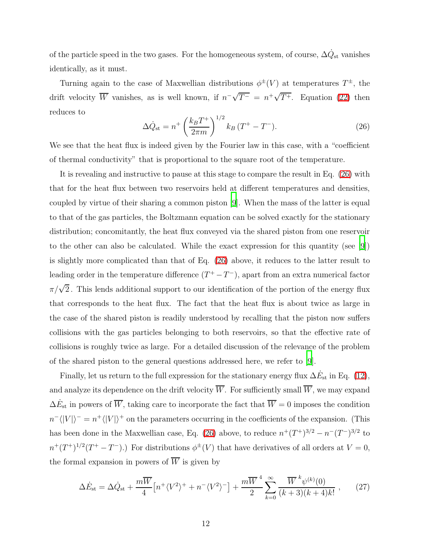of the particle speed in the two gases. For the homogeneous system, of course,  $\Delta \dot{Q}_{\rm st}$  vanishes identically, as it must.

<span id="page-11-0"></span>Turning again to the case of Maxwellian distributions  $\phi^{\pm}(V)$  at temperatures  $T^{\pm}$ , the drift velocity  $\overline{W}$  vanishes, as is well known, if  $n^{-} \sqrt{T^{-}} = n^{+} \sqrt{T^{+}}$ . Equation [\(22\)](#page-9-1) then reduces to

$$
\Delta \dot{Q}_{\text{st}} = n^+ \left(\frac{k_B T^+}{2\pi m}\right)^{1/2} k_B \left(T^+ - T^-\right). \tag{26}
$$

We see that the heat flux is indeed given by the Fourier law in this case, with a "coefficient of thermal conductivity" that is proportional to the square root of the temperature.

It is revealing and instructive to pause at this stage to compare the result in Eq. [\(26\)](#page-11-0) with that for the heat flux between two reservoirs held at different temperatures and densities, coupled by virtue of their sharing a common piston [\[9\]](#page-16-6). When the mass of the latter is equal to that of the gas particles, the Boltzmann equation can be solved exactly for the stationary distribution; concomitantly, the heat flux conveyed via the shared piston from one reservoir to the other can also be calculated. While the exact expression for this quantity (see [\[9\]](#page-16-6)) is slightly more complicated than that of Eq. [\(26\)](#page-11-0) above, it reduces to the latter result to leading order in the temperature difference  $(T^+ - T^-)$ , apart from an extra numerical factor  $\pi/\sqrt{2}$ . This lends additional support to our identification of the portion of the energy flux that corresponds to the heat flux. The fact that the heat flux is about twice as large in the case of the shared piston is readily understood by recalling that the piston now suffers collisions with the gas particles belonging to both reservoirs, so that the effective rate of collisions is roughly twice as large. For a detailed discussion of the relevance of the problem of the shared piston to the general questions addressed here, we refer to [\[9](#page-16-6)].

Finally, let us return to the full expression for the stationary energy flux  $\Delta \dot{E}_{\rm st}$  in Eq. [\(12\)](#page-7-0), and analyze its dependence on the drift velocity  $\overline{W}$ . For sufficiently small  $\overline{W}$ , we may expand  $\Delta E_{\rm st}$  in powers of  $\overline{W}$ , taking care to incorporate the fact that  $\overline{W} = 0$  imposes the condition  $n^{-} \langle |V| \rangle^{-} = n^{+} \langle |V| \rangle^{+}$  on the parameters occurring in the coefficients of the expansion. (This has been done in the Maxwellian case, Eq. [\(26\)](#page-11-0) above, to reduce  $n^+(T^+)^{3/2} - n^-(T^-)^{3/2}$  to  $n^+(T^+)^{1/2}(T^+ - T^-)$ .) For distributions  $\phi^{\pm}(V)$  that have derivatives of all orders at  $V = 0$ , the formal expansion in powers of  $\overline{W}$  is given by

<span id="page-11-1"></span>
$$
\Delta \dot{E}_{\rm st} = \Delta \dot{Q}_{\rm st} + \frac{m\overline{W}}{4} \left[ n^+ \langle V^2 \rangle^+ + n^- \langle V^2 \rangle^- \right] + \frac{m\overline{W}^4}{2} \sum_{k=0}^{\infty} \frac{\overline{W}^k \psi^{(k)}(0)}{(k+3)(k+4)k!} \,, \tag{27}
$$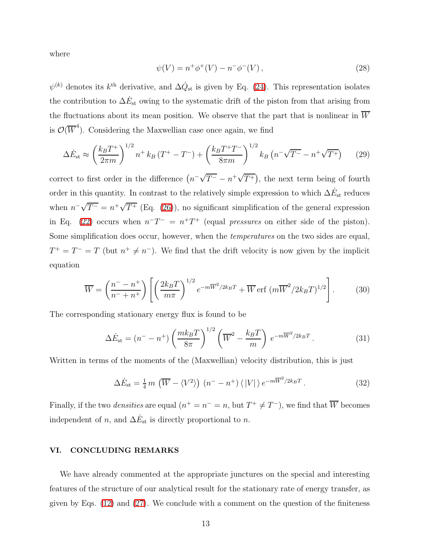where

$$
\psi(V) = n^+ \phi^+(V) - n^- \phi^-(V) , \qquad (28)
$$

 $\psi^{(k)}$  denotes its  $k^{\text{th}}$  derivative, and  $\Delta \dot{Q}_{\text{st}}$  is given by Eq. [\(24\)](#page-10-1). This representation isolates the contribution to  $\Delta \dot{E}_{\rm st}$  owing to the systematic drift of the piston from that arising from the fluctuations about its mean position. We observe that the part that is nonlinear in  $\overline{W}$ is  $\mathcal{O}(\overline{W}^4)$ . Considering the Maxwellian case once again, we find

$$
\Delta \dot{E}_{\rm st} \approx \left(\frac{k_B T^+}{2\pi m}\right)^{1/2} n^+ k_B \left(T^+ - T^-\right) + \left(\frac{k_B T^+ T^-}{8\pi m}\right)^{1/2} k_B \left(n^- \sqrt{T^-} - n^+ \sqrt{T^+}\right) \tag{29}
$$

correct to first order in the difference  $(n^{-}\sqrt{T^{-}} - n^{+}\sqrt{T^{+}})$ , the next term being of fourth order in this quantity. In contrast to the relatively simple expression to which  $\Delta \dot{E}_{\rm st}$  reduces when  $n^{-} \sqrt{T^{-}} = n^{+} \sqrt{T^{+}}$  (Eq. [\(26\)](#page-11-0)), no significant simplification of the general expression in Eq. [\(22\)](#page-9-1) occurs when  $n^{\text{-}}T^{-} = n^{\text{+}}T^{+}$  (equal pressures on either side of the piston). Some simplification does occur, however, when the temperatures on the two sides are equal,  $T^+ = T^- = T$  (but  $n^+ \neq n^-$ ). We find that the drift velocity is now given by the implicit equation

$$
\overline{W} = \left(\frac{n^- - n^+}{n^- + n^+}\right) \left[ \left(\frac{2k_B T}{m\pi}\right)^{1/2} e^{-m\overline{W}^2/2k_B T} + \overline{W} \operatorname{erf} \left(m\overline{W}^2/2k_B T\right)^{1/2} \right].
$$
 (30)

The corresponding stationary energy flux is found to be

$$
\Delta \dot{E}_{\rm st} = (n^- - n^+) \left(\frac{mk_B T}{8\pi}\right)^{1/2} \left(\overline{W}^2 - \frac{k_B T}{m}\right) e^{-m\overline{W}^2/2k_B T}.
$$
\n(31)

Written in terms of the moments of the (Maxwellian) velocity distribution, this is just

$$
\Delta \dot{E}_{\rm st} = \frac{1}{4} m \left( \overline{W} - \langle V^2 \rangle \right) \left( n^- - n^+ \right) \langle |V| \rangle e^{-m \overline{W}^2 / 2k_B T} . \tag{32}
$$

Finally, if the two *densities* are equal  $(n^+ = n^- = n$ , but  $T^+ \neq T^-$ ), we find that  $\overline{W}$  becomes independent of n, and  $\Delta \dot{E}_{\rm st}$  is directly proportional to n.

#### <span id="page-12-0"></span>VI. CONCLUDING REMARKS

We have already commented at the appropriate junctures on the special and interesting features of the structure of our analytical result for the stationary rate of energy transfer, as given by Eqs.  $(12)$  and  $(27)$ . We conclude with a comment on the question of the finiteness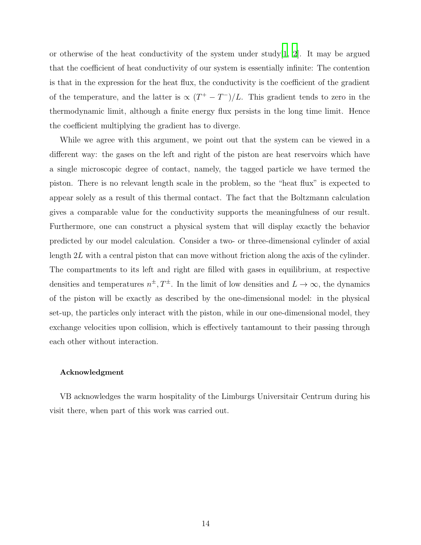or otherwise of the heat conductivity of the system under study [\[1,](#page-15-0) [2](#page-15-1)]. It may be argued that the coefficient of heat conductivity of our system is essentially infinite: The contention is that in the expression for the heat flux, the conductivity is the coefficient of the gradient of the temperature, and the latter is  $\propto (T^+ - T^-)/L$ . This gradient tends to zero in the thermodynamic limit, although a finite energy flux persists in the long time limit. Hence the coefficient multiplying the gradient has to diverge.

While we agree with this argument, we point out that the system can be viewed in a different way: the gases on the left and right of the piston are heat reservoirs which have a single microscopic degree of contact, namely, the tagged particle we have termed the piston. There is no relevant length scale in the problem, so the "heat flux" is expected to appear solely as a result of this thermal contact. The fact that the Boltzmann calculation gives a comparable value for the conductivity supports the meaningfulness of our result. Furthermore, one can construct a physical system that will display exactly the behavior predicted by our model calculation. Consider a two- or three-dimensional cylinder of axial length 2L with a central piston that can move without friction along the axis of the cylinder. The compartments to its left and right are filled with gases in equilibrium, at respective densities and temperatures  $n^{\pm}, T^{\pm}$ . In the limit of low densities and  $L \to \infty$ , the dynamics of the piston will be exactly as described by the one-dimensional model: in the physical set-up, the particles only interact with the piston, while in our one-dimensional model, they exchange velocities upon collision, which is effectively tantamount to their passing through each other without interaction.

#### Acknowledgment

VB acknowledges the warm hospitality of the Limburgs Universitair Centrum during his visit there, when part of this work was carried out.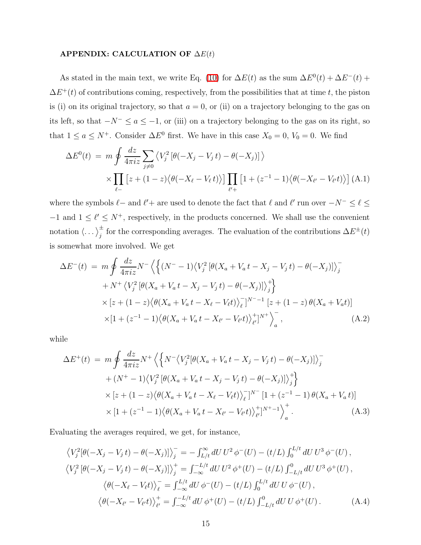## APPENDIX: CALCULATION OF  $\Delta E(t)$

As stated in the main text, we write Eq. [\(10\)](#page-6-1) for  $\Delta E(t)$  as the sum  $\Delta E^{0}(t) + \Delta E^{-}(t)$  +  $\Delta E^+(t)$  of contributions coming, respectively, from the possibilities that at time t, the piston is (i) on its original trajectory, so that  $a = 0$ , or (ii) on a trajectory belonging to the gas on its left, so that  $-N^{-} \le a \le -1$ , or (iii) on a trajectory belonging to the gas on its right, so that  $1 \le a \le N^+$ . Consider  $\Delta E^0$  first. We have in this case  $X_0 = 0$ ,  $V_0 = 0$ . We find

<span id="page-14-0"></span>
$$
\Delta E^{0}(t) = m \oint \frac{dz}{4\pi iz} \sum_{j \neq 0} \langle V_{j}^{2} \left[ \theta(-X_{j} - V_{j} t) - \theta(-X_{j}) \right] \rangle
$$
  
 
$$
\times \prod_{\ell} \left[ z + (1 - z) \langle \theta(-X_{\ell} - V_{\ell} t) \rangle \right] \prod_{\ell' +} \left[ 1 + (z^{-1} - 1) \langle \theta(-X_{\ell'} - V_{\ell'} t) \rangle \right] (A.1)
$$

where the symbols  $\ell$  – and  $\ell'$  + are used to denote the fact that  $\ell$  and  $\ell'$  run over  $-N^{-} \leq \ell \leq$  $-1$  and  $1 \leq \ell' \leq N^+$ , respectively, in the products concerned. We shall use the convenient notation  $\langle \dots \rangle_j^{\pm}$  for the corresponding averages. The evaluation of the contributions  $\Delta E^{\pm}(t)$ is somewhat more involved. We get

$$
\Delta E^{-}(t) = m \oint \frac{dz}{4\pi i z} N^{-} \left\langle \left\{ (N^{-} - 1) \left\langle V_{j}^{2} \left[ \theta (X_{a} + V_{a} t - X_{j} - V_{j} t) - \theta (-X_{j}) \right] \right\rangle_{j}^{-} + N^{+} \left\langle V_{j}^{2} \left[ \theta (X_{a} + V_{a} t - X_{j} - V_{j} t) - \theta (-X_{j}) \right] \right\rangle_{j}^{+} \right\rangle \times \left[ z + (1 - z) \left\langle \theta (X_{a} + V_{a} t - X_{\ell} - V_{\ell} t) \right\rangle_{\ell}^{-} \right]^{N^{-} - 1} \left[ z + (1 - z) \theta (X_{a} + V_{a} t) \right] \times \left[ 1 + (z^{-1} - 1) \left\langle \theta (X_{a} + V_{a} t - X_{\ell'} - V_{\ell'} t) \right\rangle_{\ell'}^{+} \right]^{N^{+}} \right\rangle_{a}^{-}, \tag{A.2}
$$

<span id="page-14-1"></span>while

$$
\Delta E^{+}(t) = m \oint \frac{dz}{4\pi i z} N^{+} \left\langle \left\{ N^{-} \left\langle V_{j}^{2} [\theta(X_{a} + V_{a} t - X_{j} - V_{j} t) - \theta(-X_{j})] \right\rangle \right\} \right\rangle
$$
  
+  $(N^{+} - 1) \left\langle V_{j}^{2} [\theta(X_{a} + V_{a} t - X_{j} - V_{j} t) - \theta(-X_{j})] \right\rangle \right\rangle_{j}^{+}$   
  $\times [z + (1 - z) \left\langle \theta(X_{a} + V_{a} t - X_{\ell} - V_{\ell} t) \right\rangle_{\ell}^{-}]^{N^{-}} [1 + (z^{-1} - 1) \theta(X_{a} + V_{a} t)]$   
  $\times [1 + (z^{-1} - 1) \left\langle \theta(X_{a} + V_{a} t - X_{\ell'} - V_{\ell'} t) \right\rangle_{\ell'}^{+}]^{N^{+}-1} \right\rangle_{a}^{+}.$  (A.3)

Evaluating the averages required, we get, for instance,

$$
\langle V_j^2[\theta(-X_j - V_j t) - \theta(-X_j)] \rangle_j^- = - \int_{L/t}^{\infty} dU U^2 \phi^-(U) - (t/L) \int_0^{L/t} dU U^3 \phi^-(U),
$$
  

$$
\langle V_j^2[\theta(-X_j - V_j t) - \theta(-X_j)] \rangle_j^+ = \int_{-\infty}^{-L/t} dU U^2 \phi^+(U) - (t/L) \int_{-L/t}^0 dU U^3 \phi^+(U),
$$
  

$$
\langle \theta(-X_\ell - V_\ell t) \rangle_\ell^- = \int_{-\infty}^{L/t} dU \phi^-(U) - (t/L) \int_0^{L/t} dU U \phi^-(U),
$$
  

$$
\langle \theta(-X_{\ell'} - V_{\ell'} t) \rangle_{\ell'}^+ = \int_{-\infty}^{-L/t} dU \phi^+(U) - (t/L) \int_{-L/t}^0 dU U \phi^+(U).
$$
 (A.4)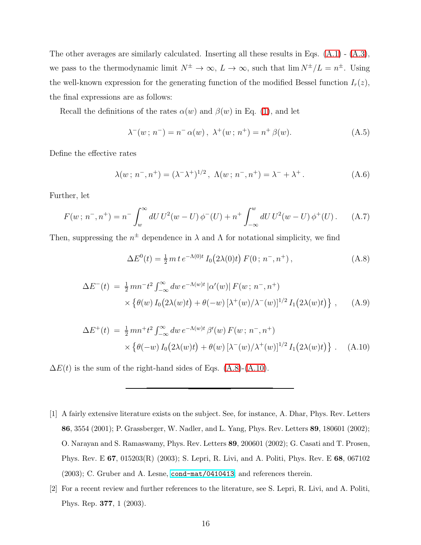The other averages are similarly calculated. Inserting all these results in Eqs. [\(A.1\)](#page-14-0) - [\(A.3\)](#page-14-1), we pass to the thermodynamic limit  $N^{\pm} \to \infty$ ,  $L \to \infty$ , such that  $\lim N^{\pm}/L = n^{\pm}$ . Using the well-known expression for the generating function of the modified Bessel function  $I_r(z)$ , the final expressions are as follows:

Recall the definitions of the rates  $\alpha(w)$  and  $\beta(w)$  in Eq. [\(1\)](#page-4-3), and let

$$
\lambda^{-}(w; n^{-}) = n^{-} \alpha(w), \ \lambda^{+}(w; n^{+}) = n^{+} \beta(w). \tag{A.5}
$$

Define the effective rates

$$
\lambda(w; n^-, n^+) = (\lambda^- \lambda^+)^{1/2}, \ \Lambda(w; n^-, n^+) = \lambda^- + \lambda^+.
$$
 (A.6)

Further, let

$$
F(w; n^-, n^+) = n^- \int_w^{\infty} dU U^2(w - U) \phi^-(U) + n^+ \int_{-\infty}^w dU U^2(w - U) \phi^+(U). \tag{A.7}
$$

<span id="page-15-4"></span>Then, suppressing the  $n^{\pm}$  dependence in  $\lambda$  and  $\Lambda$  for notational simplicity, we find

<span id="page-15-2"></span>
$$
\Delta E^{0}(t) = \frac{1}{2} m t e^{-\Lambda(0)t} I_{0}(2\lambda(0)t) F(0; n^{-}, n^{+}), \qquad (A.8)
$$

$$
\Delta E^{-}(t) = \frac{1}{2} m n^{-} t^{2} \int_{-\infty}^{\infty} dw \, e^{-\Lambda(w)t} \left| \alpha'(w) \right| F(w; n^{-}, n^{+})
$$
  
 
$$
\times \left\{ \theta(w) I_{0} \left( 2\lambda(w)t \right) + \theta(-w) \left[ \lambda^{+}(w) / \lambda^{-}(w) \right]^{1/2} I_{1} \left( 2\lambda(w)t \right) \right\}, \quad (A.9)
$$

$$
\Delta E^{+}(t) = \frac{1}{2} m n^{+} t^{2} \int_{-\infty}^{\infty} dw \, e^{-\Lambda(w)t} \, \beta'(w) \, F(w; n^{-}, n^{+})
$$
  
 
$$
\times \left\{ \theta(-w) \, I_{0} \big( 2\lambda(w)t \big) + \theta(w) \left[ \lambda^{-}(w) / \lambda^{+}(w) \right]^{1/2} I_{1} \big( 2\lambda(w)t \big) \right\} . \quad (A.10)
$$

<span id="page-15-3"></span> $\Delta E(t)$  is the sum of the right-hand sides of Eqs. [\(A.8\)](#page-15-2)-[\(A.10\)](#page-15-3).

- <span id="page-15-0"></span>[1] A fairly extensive literature exists on the subject. See, for instance, A. Dhar, Phys. Rev. Letters 86, 3554 (2001); P. Grassberger, W. Nadler, and L. Yang, Phys. Rev. Letters 89, 180601 (2002); O. Narayan and S. Ramaswamy, Phys. Rev. Letters 89, 200601 (2002); G. Casati and T. Prosen, Phys. Rev. E 67, 015203(R) (2003); S. Lepri, R. Livi, and A. Politi, Phys. Rev. E 68, 067102 (2003); C. Gruber and A. Lesne, [cond-mat/0410413](http://arxiv.org/abs/cond-mat/0410413); and references therein.
- <span id="page-15-1"></span>[2] For a recent review and further references to the literature, see S. Lepri, R. Livi, and A. Politi, Phys. Rep. 377, 1 (2003).